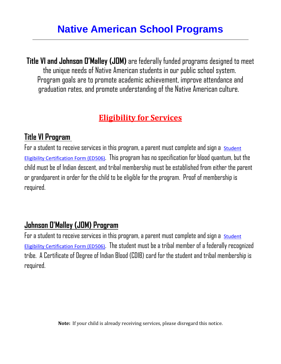**Title VI and Johnson O'Malley (JOM)** are federally funded programs designed to meet the unique needs of Native American students in our public school system. Program goals are to promote academic achievement, improve attendance and graduation rates, and promote understanding of the Native American culture.

## **Eligibility for Services**

## **Title VI Program**

For a student to receive services in this program, a parent must complete and sign a student Eligibility [Certification Form \(ED506\)](http://sde.ok.gov/sde/sites/ok.gov.sde/files/ED_506_form_exp%2031%20Jul%202019.pdf). This program has no specification for blood quantum, but the child must be of Indian descent, and tribal membership must be established from either the parent or grandparent in order for the child to be eligible for the program. Proof of membership is required.

## **Johnson O'Malley (JOM) Program**

For a student to receive services in this program, a parent must complete and sign a student [Eligibility Certification Form \(ED506\)](http://sde.ok.gov/sde/sites/ok.gov.sde/files/ED_506_form_exp%2031%20Jul%202019.pdf). The student must be a tribal member of a federally recognized tribe. A Certificate of Degree of Indian Blood (CDIB) card for the student and tribal membership is required.